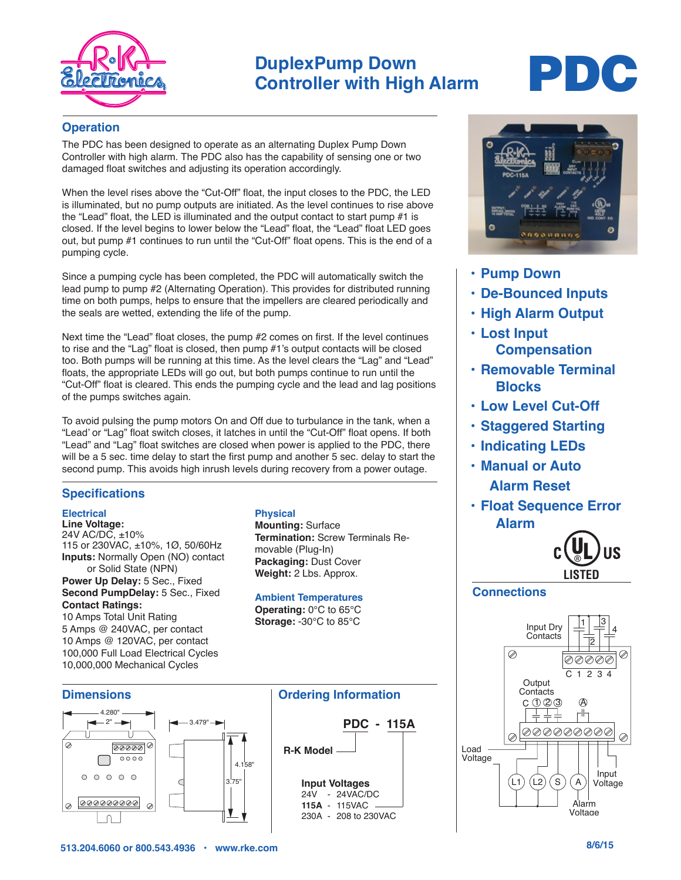

### **DuplexPump Down Controller with High Alarm**

# PDC

#### **Operation**

The PDC has been designed to operate as an alternating Duplex Pump Down Controller with high alarm. The PDC also has the capability of sensing one or two damaged float switches and adjusting its operation accordingly.

When the level rises above the "Cut-Off" float, the input closes to the PDC, the LED is illuminated, but no pump outputs are initiated. As the level continues to rise above the "Lead" float, the LED is illuminated and the output contact to start pump #1 is closed. If the level begins to lower below the "Lead" float, the "Lead" float LED goes out, but pump #1 continues to run until the "Cut-Off" float opens. This is the end of a pumping cycle.

Since a pumping cycle has been completed, the PDC will automatically switch the lead pump to pump #2 (Alternating Operation). This provides for distributed running time on both pumps, helps to ensure that the impellers are cleared periodically and the seals are wetted, extending the life of the pump.

Next time the "Lead" float closes, the pump #2 comes on first. If the level continues to rise and the "Lag" float is closed, then pump #1's output contacts will be closed too. Both pumps will be running at this time. As the level clears the "Lag" and "Lead" floats, the appropriate LEDs will go out, but both pumps continue to run until the "Cut-Off" float is cleared. This ends the pumping cycle and the lead and lag positions of the pumps switches again.

To avoid pulsing the pump motors On and Off due to turbulance in the tank, when a "Lead' or "Lag" float switch closes, it latches in until the "Cut-Off" float opens. If both "Lead" and "Lag" float switches are closed when power is applied to the PDC, there will be a 5 sec. time delay to start the first pump and another 5 sec. delay to start the second pump. This avoids high inrush levels during recovery from a power outage.

#### **Specifications**

#### **Electrical**

**Line Voltage:** 24V AC/DC, ±10% 115 or 230VAC, ±10%, 1Ø, 50/60Hz **Inputs:** Normally Open (NO) contact or Solid State (NPN) **Power Up Delay:** 5 Sec., Fixed **Second PumpDelay:** 5 Sec., Fixed

**Contact Ratings:** 10 Amps Total Unit Rating 5 Amps @ 240VAC, per contact 10 Amps @ 120VAC, per contact 100,000 Full Load Electrical Cycles

10,000,000 Mechanical Cycles

#### **Physical**

**Mounting:** Surface **Termination:** Screw Terminals Removable (Plug-In) **Packaging:** Dust Cover **Weight:** 2 Lbs. Approx.

**Ambient Temperatures**

**Operating:** 0°C to 65°C **Storage:** -30°C to 85°C







- **• Pump Down**
- **• De-Bounced Inputs**
- **• High Alarm Output**
- **• Lost Input Compensation**
- **• Removable Terminal Blocks**
- **• Low Level Cut-Off**
- **• Staggered Starting**
- **• Indicating LEDs**
- **• Manual or Auto Alarm Reset**
- **• Float Sequence Error Alarm**



#### **Connections**